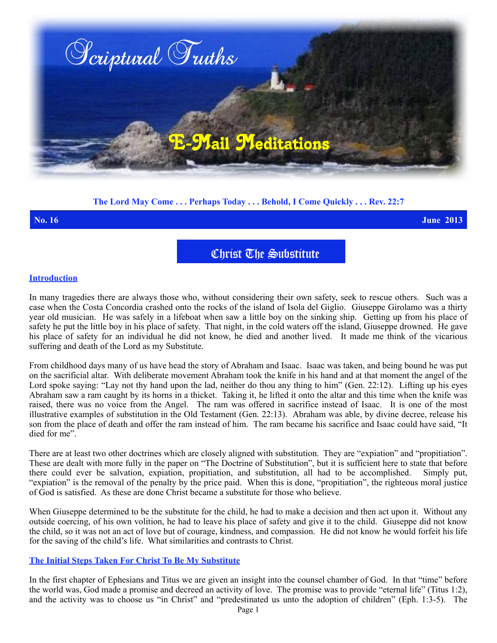

## **The Lord May Come . . . Perhaps Today . . . Behold, I Come Quickly . . . Rev. 22:7**

**No. 16 June 2013**

Christ The Substitute

#### **Introduction**

In many tragedies there are always those who, without considering their own safety, seek to rescue others. Such was a case when the Costa Concordia crashed onto the rocks of the island of Isola del Giglio. Giuseppe Girolamo was a thirty year old musician. He was safely in a lifeboat when saw a little boy on the sinking ship. Getting up from his place of safety he put the little boy in his place of safety. That night, in the cold waters off the island, Giuseppe drowned. He gave his place of safety for an individual he did not know, he died and another lived. It made me think of the vicarious suffering and death of the Lord as my Substitute.

From childhood days many of us have head the story of Abraham and Isaac. Isaac was taken, and being bound he was put on the sacrificial altar. With deliberate movement Abraham took the knife in his hand and at that moment the angel of the Lord spoke saying: "Lay not thy hand upon the lad, neither do thou any thing to him" (Gen. 22:12). Lifting up his eyes Abraham saw a ram caught by its horns in a thicket. Taking it, he lifted it onto the altar and this time when the knife was raised, there was no voice from the Angel. The ram was offered in sacrifice instead of Isaac. It is one of the most illustrative examples of substitution in the Old Testament (Gen. 22:13). Abraham was able, by divine decree, release his son from the place of death and offer the ram instead of him. The ram became his sacrifice and Isaac could have said, "It died for me".

There are at least two other doctrines which are closely aligned with substitution. They are "expiation" and "propitiation". These are dealt with more fully in the paper on "The Doctrine of Substitution", but it is sufficient here to state that before there could ever be salvation, expiation, propitiation, and substitution, all had to be accomplished. Simply put, "expiation" is the removal of the penalty by the price paid. When this is done, "propitiation", the righteous moral justice of God is satisfied. As these are done Christ became a substitute for those who believe.

When Giuseppe determined to be the substitute for the child, he had to make a decision and then act upon it. Without any outside coercing, of his own volition, he had to leave his place of safety and give it to the child. Giuseppe did not know the child, so it was not an act of love but of courage, kindness, and compassion. He did not know he would forfeit his life for the saving of the child's life. What similarities and contrasts to Christ.

### **The Initial Steps Taken For Christ To Be My Substitute**

In the first chapter of Ephesians and Titus we are given an insight into the counsel chamber of God. In that "time" before the world was, God made a promise and decreed an activity of love. The promise was to provide "eternal life" (Titus 1:2), and the activity was to choose us "in Christ" and "predestinated us unto the adoption of children" (Eph. 1:3-5). The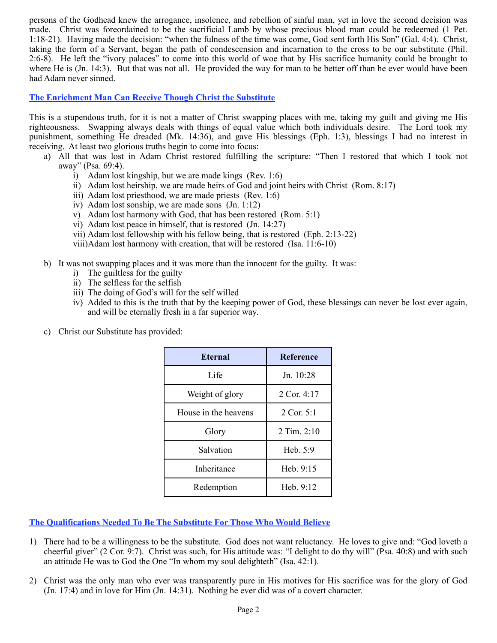persons of the Godhead knew the arrogance, insolence, and rebellion of sinful man, yet in love the second decision was made. Christ was foreordained to be the sacrificial Lamb by whose precious blood man could be redeemed (1 Pet. 1:18-21). Having made the decision: "when the fulness of the time was come, God sent forth His Son" (Gal. 4:4). Christ, taking the form of a Servant, began the path of condescension and incarnation to the cross to be our substitute (Phil. 2:6-8). He left the "ivory palaces" to come into this world of woe that by His sacrifice humanity could be brought to where He is (Jn. 14:3). But that was not all. He provided the way for man to be better off than he ever would have been had Adam never sinned.

## **The Enrichment Man Can Receive Though Christ the Substitute**

This is a stupendous truth, for it is not a matter of Christ swapping places with me, taking my guilt and giving me His righteousness. Swapping always deals with things of equal value which both individuals desire. The Lord took my punishment, something He dreaded (Mk. 14:36), and gave His blessings (Eph. 1:3), blessings I had no interest in receiving. At least two glorious truths begin to come into focus:

- a) All that was lost in Adam Christ restored fulfilling the scripture: "Then I restored that which I took not away" (Psa. 69:4).
	- i) Adam lost kingship, but we are made kings (Rev. 1:6)
	- ii) Adam lost heirship, we are made heirs of God and joint heirs with Christ (Rom. 8:17)
	- iii) Adam lost priesthood, we are made priests (Rev. 1:6)
	- iv) Adam lost sonship, we are made sons (Jn. 1:12)
	- v) Adam lost harmony with God, that has been restored (Rom. 5:1)
	- vi) Adam lost peace in himself, that is restored (Jn. 14:27)
	- vii) Adam lost fellowship with his fellow being, that is restored (Eph. 2:13-22)

viii)Adam lost harmony with creation, that will be restored (Isa. 11:6-10)

- b) It was not swapping places and it was more than the innocent for the guilty. It was:
	- i) The guiltless for the guilty
	- ii) The selfless for the selfish
	- iii) The doing of God's will for the self willed
	- iv) Added to this is the truth that by the keeping power of God, these blessings can never be lost ever again, and will be eternally fresh in a far superior way.
- c) Christ our Substitute has provided:

| <b>Eternal</b>       | <b>Reference</b> |
|----------------------|------------------|
| Life                 | Jn. 10:28        |
| Weight of glory      | 2 Cor. $4:17$    |
| House in the heavens | 2 Cor. $5:1$     |
| Glory                | 2 Tim. 2:10      |
| Salvation            | Heb. $5:9$       |
| <b>Inheritance</b>   | Heb. 9:15        |
| Redemption           | Heb. $9:12$      |

**The Qualifications Needed To Be The Substitute For Those Who Would Believe**

- 1) There had to be a willingness to be the substitute. God does not want reluctancy. He loves to give and: "God loveth a cheerful giver" (2 Cor. 9:7). Christ was such, for His attitude was: "I delight to do thy will" (Psa. 40:8) and with such an attitude He was to God the One "In whom my soul delighteth" (Isa. 42:1).
- 2) Christ was the only man who ever was transparently pure in His motives for His sacrifice was for the glory of God (Jn. 17:4) and in love for Him (Jn. 14:31). Nothing he ever did was of a covert character.